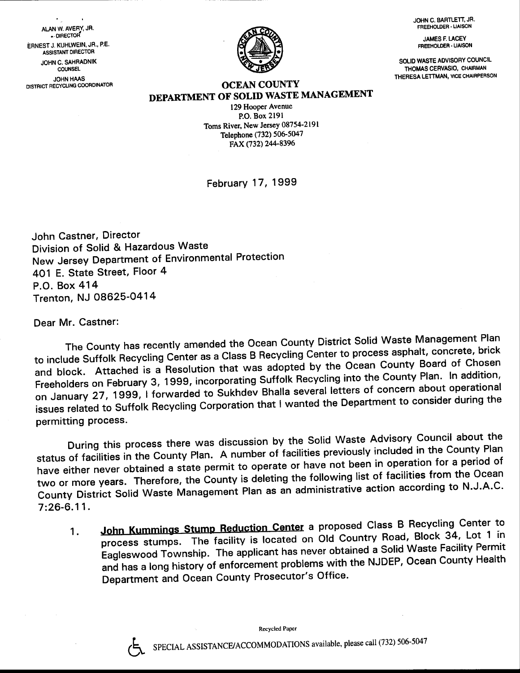JOHN C. BARTLETT, JR. FREEHOLDER - LIAISON

**JAMES F. LACEY** FREEHOLDER - LIAISON

SOLIO WASTE AOVISORY COUNCIL THOMASCERVASIO, CHAIRMAN THERESA LETTMAN, VICE CHAIRPERSON

OCEAN COUNTY DEPARTMENT OF SOLID WASTE MANAGEMENT

> 129 Hooper Avenue P.O. Box 2l9l Toms River, New Jersey 08754-2191 Telephone (732) 506-5047 FAX (732) 244-8396

February 17, 1999

John Castner, Director Division of Solid & Hazardous Waste New Jersey Department of Environmental Protection 401 E. State Street, Floor 4 P.O. Box 414 Trenton, NJ 08625-O414

Dear Mr. Castner:

The County has recently amended the Ocean County District Solid Waste Management Plan to include Suffolk Recycling Center as a Class B Recycling Center to process asphalt, concrete, brick and block. Attached is a Resolution that was adopted by the Ocean County Board of Chosen Freeholders on February 3, 1999, incorporating Suffolk Recycling into the County Plan. In addition, on January 27, 1999, I forwarded to Sukhdev Bhalla several letters of concern about operational issues related to Suffolk Recycling Corporation that I wanted the Department to consider during the permitting process.

During this process there was discussion by the solid waste Advisory council about the status of facilities in the County plan. A number of facilities previously included in the county Plan have either never obtained a state permit to operate or have not been in operation for a period of two or more years. Therefore, the County is deleting the following list of facilities from the Ocean rwo of more yearer<br>County District Solid Waste Management Plan as an no renewing in action according to N.J.A.C.  $7:26-6.11.$ 

1. John Kummings Stump Reduction Center a proposed Class B Recycling Center to process stumps. The facility is located on Old Country Road, Block 34, Lot 1 in Eagleswood Township. The applicant has never obtained a Solid Waste Facility Permit and has a long history of enforcement problems with the NJDEP, Ocean County Health Department and Ocean County Prosecutor's Office.

Recycled Paper



ALAN W. AVERY, JR. . DIRECTOR<sup>®</sup> ERNEST J. KUHLWEIN, JR., P.E. ASSISTANT DIRECTOR JOHN C. SAHRADNIK COUNSEL JOHN HAAS DISTRICT RECYCLING COORDINATOR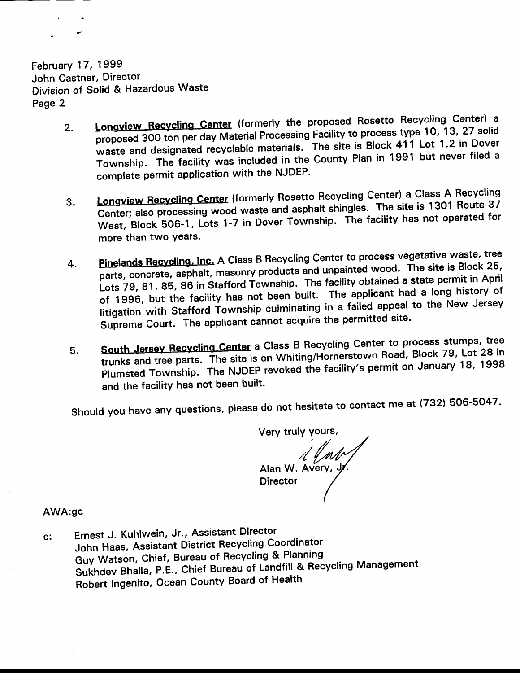February 17, 1999 John Castner, Director Division of Sotid & Hazardous Waste Page 2

- 2. Longview Recycling Center (formerly the proposed Rosetto Recycling Center) a proposed 300 ton per day Material Processing Facility to process type 10, 13, 27 solid waste and designated recyclable materials. The site is Block 411 Lot 1.2 in Dover Township. The facility was included in the County Plan in 1991 but never filed <sup>a</sup> complete permit application with the NJDEP.
- 3. Longview Recycling Center (formerly Rosetto Recycling Center) a Class A Recycling Center; also processing wood waste and asphalt shingles. The site is 1301 Route 37 West, Block 506-1, Lots 1-7 in Dover Township. The facility has not operated for more than two years.
- 4. Pinelands Recycling, Inc. A Class B Recycling Center to process vegetative waste, tree parts, concrete, asphalt, masonry products and unpainted wood. The site is Block 25, Lots 79, 81, 85, 86 in Stafford Township. The facility obtained a state permit in April of 1996, but the facility has not been built. The applicant had a long history of litigation with Stafford Township culminating in a failed appeal to the New Jersey Supreme Court. The applicant cannot acquire the permitted site.
- South Jersey-Recycling Center a Class B Recycling Center to process stamps. South Jersey Recycling Center a Cluss Billie, weighing<br>trunks and tree parts. The site is on Whiting/Hornerstown Road, Block 79, Lot 28 in<br>Blumeted Township. The NJDFP revoked the facility's permit on January 18, 1998 Plumsted Township. The NJDEP revoked the facility's permit on January 18, 1998 and the facility has not been built.

Should you have any questions, please do not hesitate to contact me at (732) 506-5047.

Very truly yours,  $\mathcal{A}$  and  $\mathcal{A}$ **Director** 

## AWA:gc

c: Ernest J. Kuhlwein, Jr., Assistant Director John Haas, Assistant District Recycling Coordinator Guy Watson, Chief, Bureau of Recycling & Planning sukhdev Bhalla, P.E., chief Bureau of Landfill & Recycling Management Robert Ingenito, Ocean County Board of Health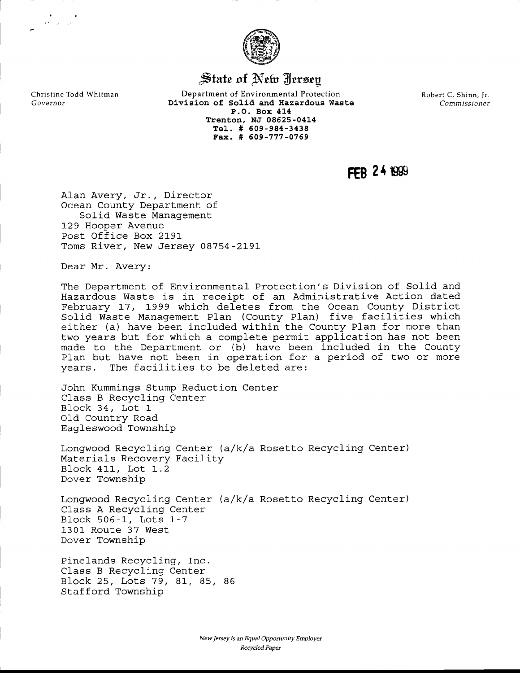

## State of New Jersey

Department of Environmental Protection Divieion of So1id and Hazardous Waste P.O. Box 414 Trenton, NJ 08625-0414 Tel-. # 509-984-3438 Fax. # 609-777-0769

Robert C. Shinn, Jr. Commissioner

 $FFR$  24  $f999$ 

Alan Avery, Jr., Director Ocean County Department of Solid Waste Management 129 Hooper Avenue Post Office Box 2191 Toms River, New Jersey 08754-2191

Dear Mr. Avery:

Christine Todd Whitman

Governor

 $\label{eq:2} \begin{array}{c} \mathbb{R}^3 \times \mathbb{R}^3 \times \mathbb{R}^3 \\ \mathbb{R}^3 \times \mathbb{R}^3 \times \mathbb{R}^3 \times \mathbb{R}^3 \end{array}$ 

The Department of Environmental Protection' s Division of Solid and Hazardous Waste is in receipt of an Administrative Action dated February 17, 1999 which deletes from the Ocean County District Solid Waste Management Plan (County Plan) five facilities which either (a) have been included within the County Plan for more than two years but for which a complete permit application has not been made to the Department or (b) have been included in the County PIan but have not been in operation for a period of two or more years. The facilities to be deleted are:

,John Kummings Stump Reduction Center Class B Recycling Center Block 34, Lot. <sup>1</sup> Old Country Road Eagleswood Township

Longwood Recycling Center (a/k/a Rosetto Recycling Center) Materials Recovery Facility Block 411, Lot 1.2 Dover Township

Longwood Recycling Center (a/k/a Rosetto Recycling Center) Class A Recycling Center Block 505-l-, Lots 1-7 1301 Route 37 West Dover Township

Pinelands Recycling, Inc. Class B Recycling Center B]ock 25, Lots 79 , 81, 85, <sup>85</sup> Stafford Township